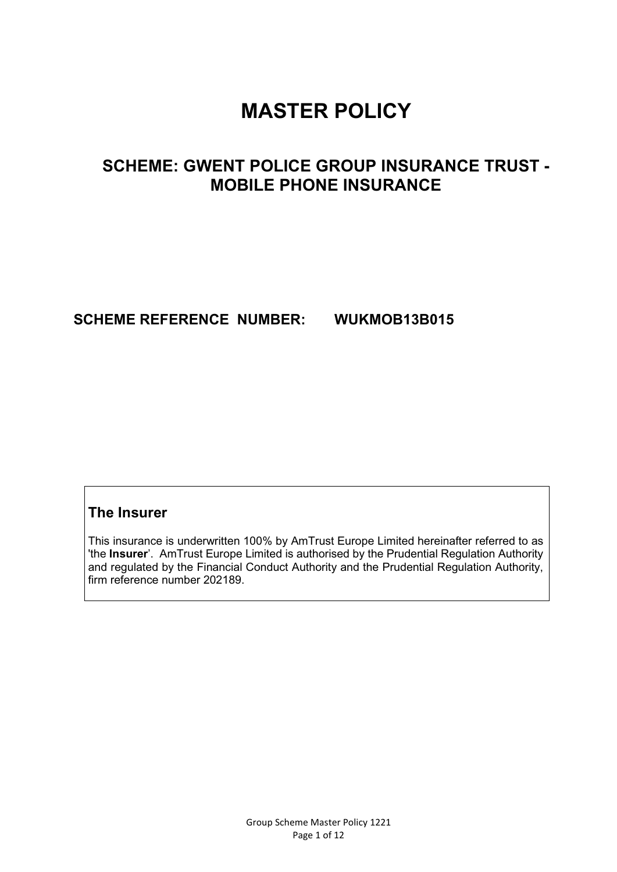# **MASTER POLICY**

## **SCHEME: GWENT POLICE GROUP INSURANCE TRUST - MOBILE PHONE INSURANCE**

## **SCHEME REFERENCE NUMBER: WUKMOB13B015**

## **The Insurer**

This insurance is underwritten 100% by AmTrust Europe Limited hereinafter referred to as 'the **Insurer**'. AmTrust Europe Limited is authorised by the Prudential Regulation Authority and regulated by the Financial Conduct Authority and the Prudential Regulation Authority, firm reference number 202189.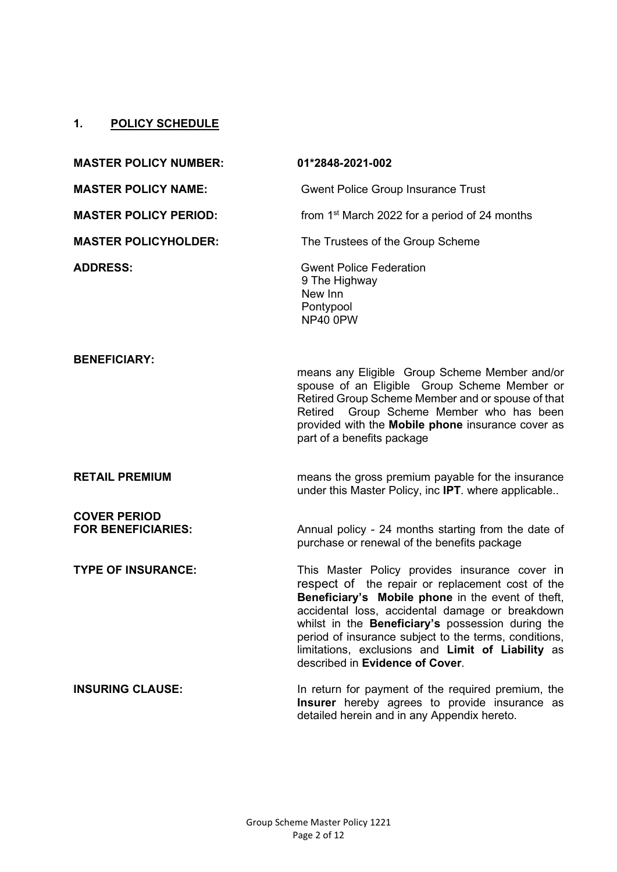## **1. POLICY SCHEDULE**

| <b>MASTER POLICY NUMBER:</b>                     | 01*2848-2021-002                                                                                                                                                                                                                                                                                                                                                                                                 |
|--------------------------------------------------|------------------------------------------------------------------------------------------------------------------------------------------------------------------------------------------------------------------------------------------------------------------------------------------------------------------------------------------------------------------------------------------------------------------|
| <b>MASTER POLICY NAME:</b>                       | <b>Gwent Police Group Insurance Trust</b>                                                                                                                                                                                                                                                                                                                                                                        |
| <b>MASTER POLICY PERIOD:</b>                     | from 1 <sup>st</sup> March 2022 for a period of 24 months                                                                                                                                                                                                                                                                                                                                                        |
| <b>MASTER POLICYHOLDER:</b>                      | The Trustees of the Group Scheme                                                                                                                                                                                                                                                                                                                                                                                 |
| <b>ADDRESS:</b>                                  | <b>Gwent Police Federation</b><br>9 The Highway<br>New Inn<br>Pontypool<br>NP40 0PW                                                                                                                                                                                                                                                                                                                              |
| <b>BENEFICIARY:</b>                              | means any Eligible Group Scheme Member and/or<br>spouse of an Eligible Group Scheme Member or<br>Retired Group Scheme Member and or spouse of that<br>Retired Group Scheme Member who has been<br>provided with the Mobile phone insurance cover as<br>part of a benefits package                                                                                                                                |
| <b>RETAIL PREMIUM</b>                            | means the gross premium payable for the insurance<br>under this Master Policy, inc IPT. where applicable                                                                                                                                                                                                                                                                                                         |
| <b>COVER PERIOD</b><br><b>FOR BENEFICIARIES:</b> | Annual policy - 24 months starting from the date of<br>purchase or renewal of the benefits package                                                                                                                                                                                                                                                                                                               |
| <b>TYPE OF INSURANCE:</b>                        | This Master Policy provides insurance cover in<br>respect of the repair or replacement cost of the<br>Beneficiary's Mobile phone in the event of theft,<br>accidental loss, accidental damage or breakdown<br>whilst in the Beneficiary's possession during the<br>period of insurance subject to the terms, conditions,<br>limitations, exclusions and Limit of Liability as<br>described in Evidence of Cover. |
| <b>INSURING CLAUSE:</b>                          | In return for payment of the required premium, the<br>Insurer hereby agrees to provide insurance as<br>detailed herein and in any Appendix hereto.                                                                                                                                                                                                                                                               |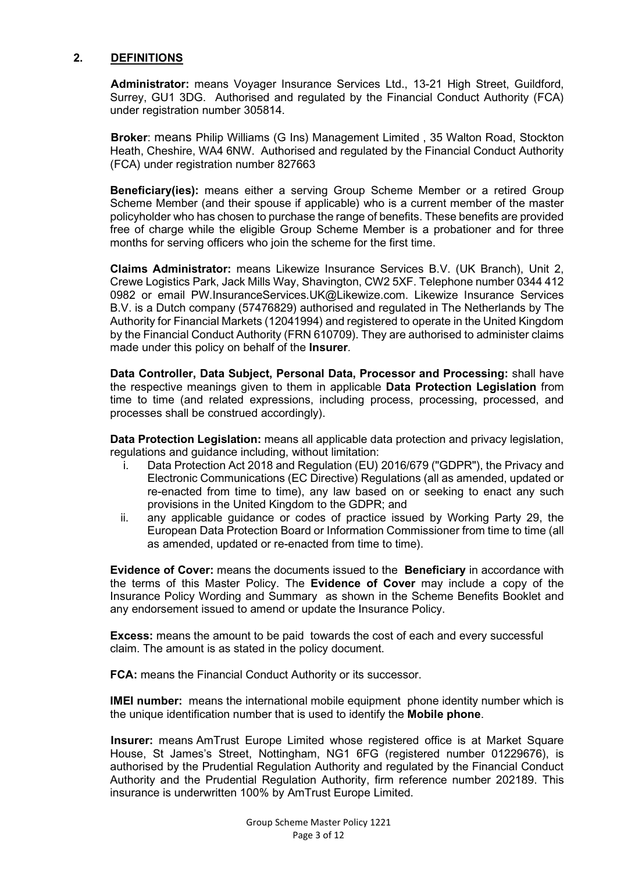#### **2. DEFINITIONS**

**Administrator:** means Voyager Insurance Services Ltd., 13-21 High Street, Guildford, Surrey, GU1 3DG. Authorised and regulated by the Financial Conduct Authority (FCA) under registration number 305814.

**Broker**: means Philip Williams (G Ins) Management Limited , 35 Walton Road, Stockton Heath, Cheshire, WA4 6NW. Authorised and regulated by the Financial Conduct Authority (FCA) under registration number 827663

**Beneficiary(ies):** means either a serving Group Scheme Member or a retired Group Scheme Member (and their spouse if applicable) who is a current member of the master policyholder who has chosen to purchase the range of benefits. These benefits are provided free of charge while the eligible Group Scheme Member is a probationer and for three months for serving officers who join the scheme for the first time.

**Claims Administrator:** means Likewize Insurance Services B.V. (UK Branch), Unit 2, Crewe Logistics Park, Jack Mills Way, Shavington, CW2 5XF. Telephone number 0344 412 0982 or email PW.InsuranceServices.UK@Likewize.com. Likewize Insurance Services B.V. is a Dutch company (57476829) authorised and regulated in The Netherlands by The Authority for Financial Markets (12041994) and registered to operate in the United Kingdom by the Financial Conduct Authority (FRN 610709). They are authorised to administer claims made under this policy on behalf of the **Insurer***.*

**Data Controller, Data Subject, Personal Data, Processor and Processing:** shall have the respective meanings given to them in applicable **Data Protection Legislation** from time to time (and related expressions, including process, processing, processed, and processes shall be construed accordingly).

**Data Protection Legislation:** means all applicable data protection and privacy legislation, regulations and guidance including, without limitation:

- i. Data Protection Act 2018 and Regulation (EU) 2016/679 ("GDPR"), the Privacy and Electronic Communications (EC Directive) Regulations (all as amended, updated or re-enacted from time to time), any law based on or seeking to enact any such provisions in the United Kingdom to the GDPR; and
- ii. any applicable guidance or codes of practice issued by Working Party 29, the European Data Protection Board or Information Commissioner from time to time (all as amended, updated or re-enacted from time to time).

**Evidence of Cover:** means the documents issued to the **Beneficiary** in accordance with the terms of this Master Policy. The **Evidence of Cover** may include a copy of the Insurance Policy Wording and Summary as shown in the Scheme Benefits Booklet and any endorsement issued to amend or update the Insurance Policy.

**Excess:** means the amount to be paid towards the cost of each and every successful claim. The amount is as stated in the policy document.

**FCA:** means the Financial Conduct Authority or its successor.

**IMEI number:** means the international mobile equipment phone identity number which is the unique identification number that is used to identify the **Mobile phone**.

**Insurer:** means AmTrust Europe Limited whose registered office is at Market Square House, St James's Street, Nottingham, NG1 6FG (registered number 01229676), is authorised by the Prudential Regulation Authority and regulated by the Financial Conduct Authority and the Prudential Regulation Authority, firm reference number 202189. This insurance is underwritten 100% by AmTrust Europe Limited.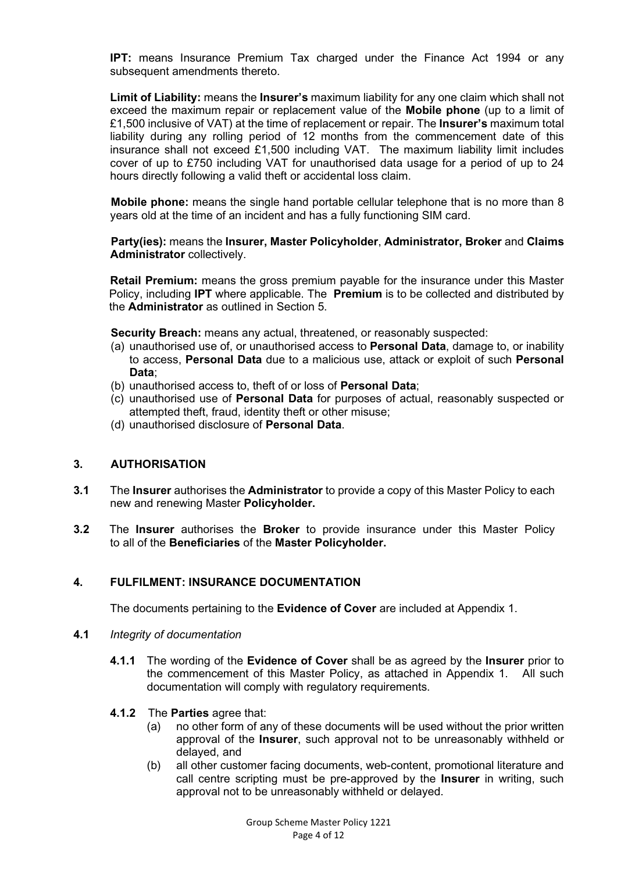**IPT:** means Insurance Premium Tax charged under the Finance Act 1994 or any subsequent amendments thereto.

**Limit of Liability:** means the **Insurer's** maximum liability for any one claim which shall not exceed the maximum repair or replacement value of the **Mobile phone** (up to a limit of £1,500 inclusive of VAT) at the time of replacement or repair. The **Insurer's** maximum total liability during any rolling period of 12 months from the commencement date of this insurance shall not exceed £1,500 including VAT. The maximum liability limit includes cover of up to £750 including VAT for unauthorised data usage for a period of up to 24 hours directly following a valid theft or accidental loss claim.

**Mobile phone:** means the single hand portable cellular telephone that is no more than 8 years old at the time of an incident and has a fully functioning SIM card.

**Party(ies):** means the **Insurer, Master Policyholder**, **Administrator, Broker** and **Claims Administrator** collectively.

**Retail Premium:** means the gross premium payable for the insurance under this Master Policy, including **IPT** where applicable. The **Premium** is to be collected and distributed by the **Administrator** as outlined in Section 5.

**Security Breach:** means any actual, threatened, or reasonably suspected:

- (a) unauthorised use of, or unauthorised access to **Personal Data**, damage to, or inability to access, **Personal Data** due to a malicious use, attack or exploit of such **Personal Data**;
- (b) unauthorised access to, theft of or loss of **Personal Data**;
- (c) unauthorised use of **Personal Data** for purposes of actual, reasonably suspected or attempted theft, fraud, identity theft or other misuse;
- (d) unauthorised disclosure of **Personal Data**.

#### **3. AUTHORISATION**

- **3.1** The **Insurer** authorises the **Administrator** to provide a copy of this Master Policy to each new and renewing Master **Policyholder.**
- **3.2** The **Insurer** authorises the **Broker** to provide insurance under this Master Policy to all of the **Beneficiaries** of the **Master Policyholder.**

#### **4. FULFILMENT: INSURANCE DOCUMENTATION**

The documents pertaining to the **Evidence of Cover** are included at Appendix 1.

- **4.1** *Integrity of documentation*
	- **4.1.1** The wording of the **Evidence of Cover** shall be as agreed by the **Insurer** prior to the commencement of this Master Policy, as attached in Appendix 1. All such documentation will comply with regulatory requirements.

#### **4.1.2** The **Parties** agree that:

- (a) no other form of any of these documents will be used without the prior written approval of the **Insurer**, such approval not to be unreasonably withheld or delayed, and
- (b) all other customer facing documents, web-content, promotional literature and call centre scripting must be pre-approved by the **Insurer** in writing, such approval not to be unreasonably withheld or delayed.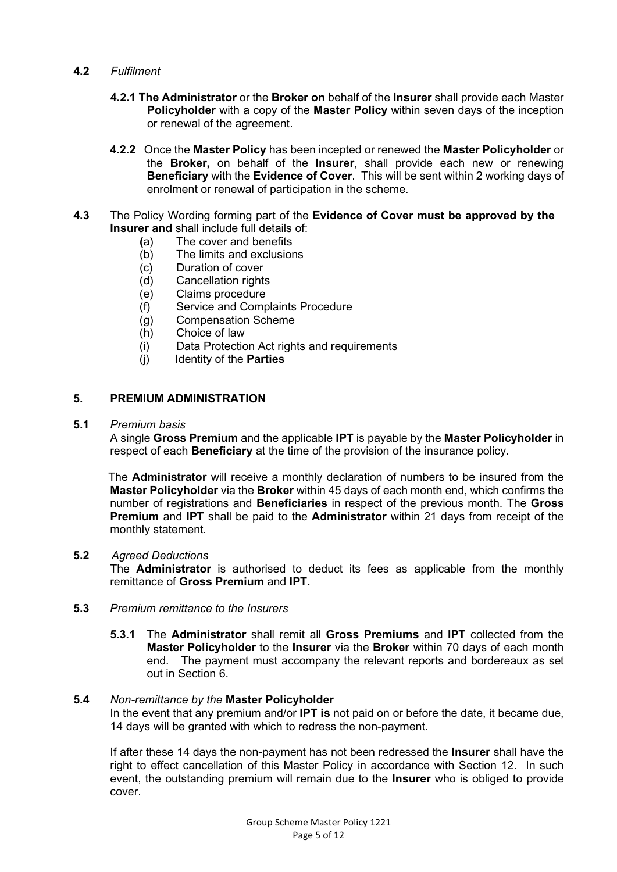- **4.2** *Fulfilment* 
	- **4.2.1 The Administrator** or the **Broker on** behalf of the **Insurer** shall provide each Master **Policyholder** with a copy of the **Master Policy** within seven days of the inception or renewal of the agreement.
	- **4.2.2** Once the **Master Policy** has been incepted or renewed the **Master Policyholder** or the **Broker,** on behalf of the **Insurer**, shall provide each new or renewing **Beneficiary** with the **Evidence of Cover**. This will be sent within 2 working days of enrolment or renewal of participation in the scheme.
- $4.3$ **4.3** The Policy Wording forming part of the **Evidence of Cover must be approved by the Insurer and** shall include full details of:
	-
	- **(**a) The cover and benefits The limits and exclusions
	- (c) Duration of cover
	- (d) Cancellation rights
	- (e) Claims procedure
	- (f) Service and Complaints Procedure
	- (g) Compensation Scheme<br>(h) Choice of law
	-
	- (h) Choice of law<br>(i) Data Protectic Data Protection Act rights and requirements
	- (j) Identity of the **Parties**

#### **5. PREMIUM ADMINISTRATION**

#### **5.1** *Premium basis*

A single **Gross Premium** and the applicable **IPT** is payable by the **Master Policyholder** in respect of each **Beneficiary** at the time of the provision of the insurance policy.

 The **Administrator** will receive a monthly declaration of numbers to be insured from the **Master Policyholder** via the **Broker** within 45 days of each month end, which confirms the number of registrations and **Beneficiaries** in respect of the previous month. The **Gross Premium** and **IPT** shall be paid to the **Administrator** within 21 days from receipt of the monthly statement.

#### **5.2** *Agreed Deductions*

The **Administrator** is authorised to deduct its fees as applicable from the monthly remittance of **Gross Premium** and **IPT.** 

- **5.3** *Premium remittance to the Insurers*
	- **5.3.1** The **Administrator** shall remit all **Gross Premiums** and **IPT** collected from the **Master Policyholder** to the **Insurer** via the **Broker** within 70 days of each month end. The payment must accompany the relevant reports and bordereaux as set out in Section 6.

#### **5.4** *Non-remittance by the* **Master Policyholder**

In the event that any premium and/or **IPT is** not paid on or before the date, it became due, 14 days will be granted with which to redress the non-payment.

If after these 14 days the non-payment has not been redressed the **Insurer** shall have the right to effect cancellation of this Master Policy in accordance with Section 12. In such event, the outstanding premium will remain due to the **Insurer** who is obliged to provide cover.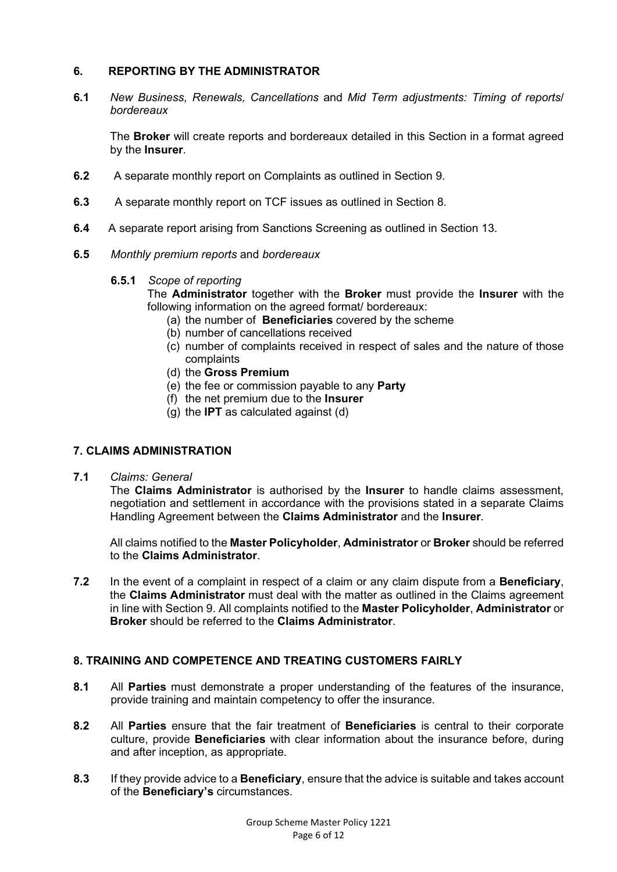#### **6. REPORTING BY THE ADMINISTRATOR**

**6.1** *New Business, Renewals, Cancellations* and *Mid Term adjustments: Timing of reports/ bordereaux* 

The **Broker** will create reports and bordereaux detailed in this Section in a format agreed by the **Insurer**.

- **6.2** A separate monthly report on Complaints as outlined in Section 9.
- **6.3** A separate monthly report on TCF issues as outlined in Section 8.
- **6.4** A separate report arising from Sanctions Screening as outlined in Section 13.
- **6.5** *Monthly premium reports* and *bordereaux* 
	- **6.5.1** *Scope of reporting*
		- The **Administrator** together with the **Broker** must provide the **Insurer** with the following information on the agreed format/ bordereaux:
			- (a) the number of **Beneficiaries** covered by the scheme
			- (b) number of cancellations received
			- (c) number of complaints received in respect of sales and the nature of those complaints
			- (d) the **Gross Premium**
			- (e) the fee or commission payable to any **Party**
			- (f) the net premium due to the **Insurer**
			- (g) the **IPT** as calculated against (d)

#### **7. CLAIMS ADMINISTRATION**

#### **7.1** *Claims: General*

The **Claims Administrator** is authorised by the **Insurer** to handle claims assessment, negotiation and settlement in accordance with the provisions stated in a separate Claims Handling Agreement between the **Claims Administrator** and the **Insurer**.

All claims notified to the **Master Policyholder**, **Administrator** or **Broker** should be referred to the **Claims Administrator**.

**7.2** In the event of a complaint in respect of a claim or any claim dispute from a **Beneficiary**, the **Claims Administrator** must deal with the matter as outlined in the Claims agreement in line with Section 9. All complaints notified to the **Master Policyholder**, **Administrator** or **Broker** should be referred to the **Claims Administrator**.

#### **8. TRAINING AND COMPETENCE AND TREATING CUSTOMERS FAIRLY**

- **8.1** All **Parties** must demonstrate a proper understanding of the features of the insurance, provide training and maintain competency to offer the insurance.
- **8.2** All **Parties** ensure that the fair treatment of **Beneficiaries** is central to their corporate culture, provide **Beneficiaries** with clear information about the insurance before, during and after inception, as appropriate.
- **8.3** If they provide advice to a **Beneficiary**, ensure that the advice is suitable and takes account of the **Beneficiary's** circumstances.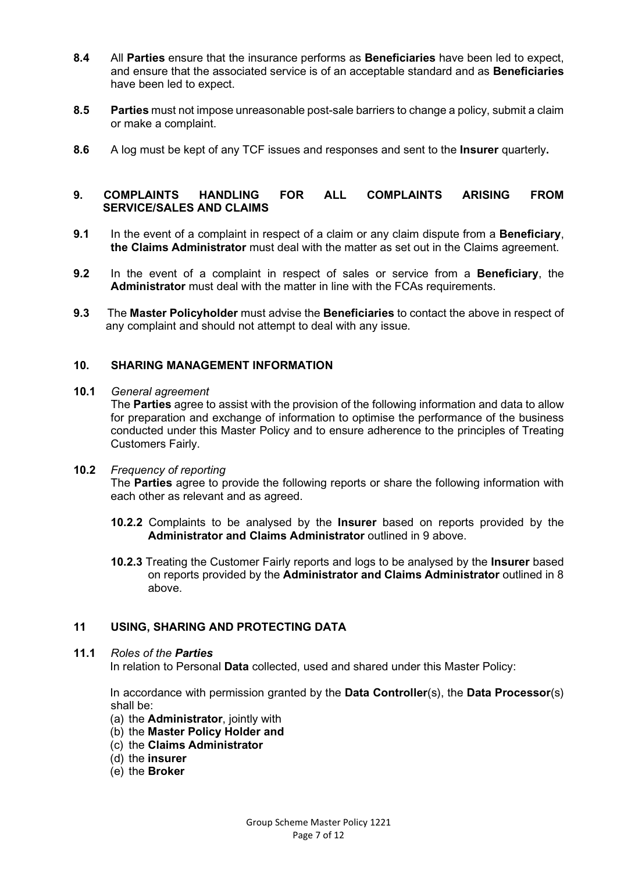- **8.4** All **Parties** ensure that the insurance performs as **Beneficiaries** have been led to expect, and ensure that the associated service is of an acceptable standard and as **Beneficiaries** have been led to expect.
- **8.5 Parties** must not impose unreasonable post-sale barriers to change a policy, submit a claim or make a complaint.
- **8.6** A log must be kept of any TCF issues and responses and sent to the **Insurer** quarterly**.**

#### **9. COMPLAINTS HANDLING FOR ALL COMPLAINTS ARISING FROM SERVICE/SALES AND CLAIMS**

- **9.1** In the event of a complaint in respect of a claim or any claim dispute from a **Beneficiary**, **the Claims Administrator** must deal with the matter as set out in the Claims agreement.
- **9.2** In the event of a complaint in respect of sales or service from a **Beneficiary**, the **Administrator** must deal with the matter in line with the FCAs requirements.
- **9.3** The **Master Policyholder** must advise the **Beneficiaries** to contact the above in respect of any complaint and should not attempt to deal with any issue.

#### **10. SHARING MANAGEMENT INFORMATION**

**10.1** *General agreement*

The **Parties** agree to assist with the provision of the following information and data to allow for preparation and exchange of information to optimise the performance of the business conducted under this Master Policy and to ensure adherence to the principles of Treating Customers Fairly.

**10.2** *Frequency of reporting*

The **Parties** agree to provide the following reports or share the following information with each other as relevant and as agreed.

- **10.2.2** Complaints to be analysed by the **Insurer** based on reports provided by the **Administrator and Claims Administrator** outlined in 9 above.
- **10.2.3** Treating the Customer Fairly reports and logs to be analysed by the **Insurer** based on reports provided by the **Administrator and Claims Administrator** outlined in 8 above.

#### **11 USING, SHARING AND PROTECTING DATA**

#### **11.1** *Roles of the Parties*

In relation to Personal **Data** collected, used and shared under this Master Policy:

In accordance with permission granted by the **Data Controller**(s), the **Data Processor**(s) shall be:

- (a) the **Administrator**, jointly with
- (b) the **Master Policy Holder and**
- (c) the **Claims Administrator**
- (d) the **insurer**
- (e) the **Broker**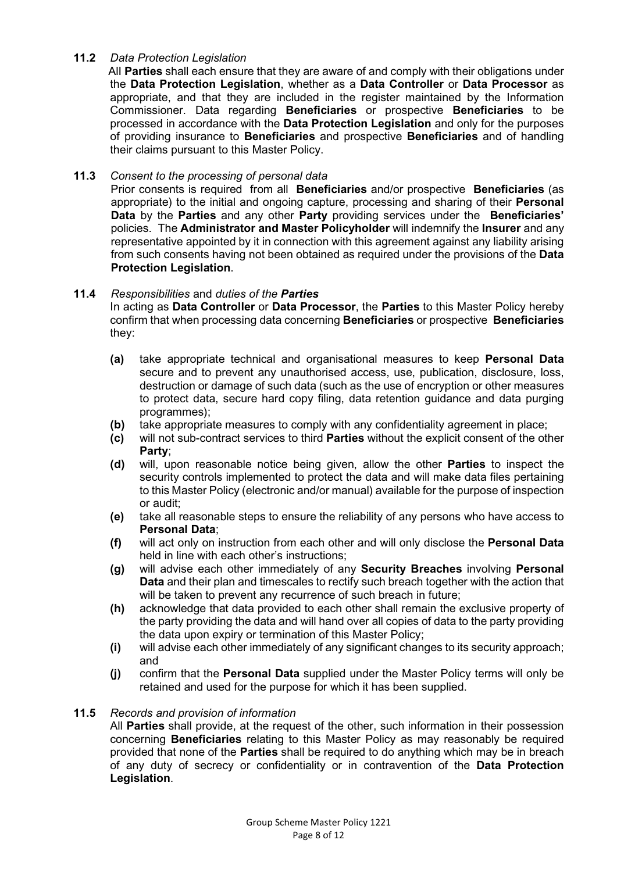#### **11.2** *Data Protection Legislation*

 AlI **Parties** shall each ensure that they are aware of and comply with their obligations under the **Data Protection Legislation**, whether as a **Data Controller** or **Data Processor** as appropriate, and that they are included in the register maintained by the Information Commissioner. Data regarding **Beneficiaries** or prospective **Beneficiaries** to be processed in accordance with the **Data Protection Legislation** and only for the purposes of providing insurance to **Beneficiaries** and prospective **Beneficiaries** and of handling their claims pursuant to this Master Policy.

#### **11.3** *Consent to the processing of personal data*

Prior consents is required from all **Beneficiaries** and/or prospective **Beneficiaries** (as appropriate) to the initial and ongoing capture, processing and sharing of their **Personal Data** by the **Parties** and any other **Party** providing services under the **Beneficiaries'** policies. The **Administrator and Master Policyholder** will indemnify the **Insurer** and any representative appointed by it in connection with this agreement against any liability arising from such consents having not been obtained as required under the provisions of the **Data Protection Legislation**.

#### **11.4** *Responsibilities* and *duties of the Parties*

In acting as **Data Controller** or **Data Processor**, the **Parties** to this Master Policy hereby confirm that when processing data concerning **Beneficiaries** or prospective **Beneficiaries** they:

- **(a)** take appropriate technical and organisational measures to keep **Personal Data** secure and to prevent any unauthorised access, use, publication, disclosure, loss, destruction or damage of such data (such as the use of encryption or other measures to protect data, secure hard copy filing, data retention guidance and data purging programmes);
- **(b)** take appropriate measures to comply with any confidentiality agreement in place;
- **(c)** will not sub-contract services to third **Parties** without the explicit consent of the other **Party**;
- **(d)** will, upon reasonable notice being given, allow the other **Parties** to inspect the security controls implemented to protect the data and will make data files pertaining to this Master Policy (electronic and/or manual) available for the purpose of inspection or audit;
- **(e)** take all reasonable steps to ensure the reliability of any persons who have access to **Personal Data**;
- **(f)** will act only on instruction from each other and will only disclose the **Personal Data** held in line with each other's instructions;
- **(g)** will advise each other immediately of any **Security Breaches** involving **Personal Data** and their plan and timescales to rectify such breach together with the action that will be taken to prevent any recurrence of such breach in future;
- **(h)** acknowledge that data provided to each other shall remain the exclusive property of the party providing the data and will hand over all copies of data to the party providing the data upon expiry or termination of this Master Policy;
- **(i)** will advise each other immediately of any significant changes to its security approach; and
- **(j)** confirm that the **Personal Data** supplied under the Master Policy terms will only be retained and used for the purpose for which it has been supplied.

#### **11.5** *Records and provision of information*

All **Parties** shall provide, at the request of the other, such information in their possession concerning **Beneficiaries** relating to this Master Policy as may reasonably be required provided that none of the **Parties** shall be required to do anything which may be in breach of any duty of secrecy or confidentiality or in contravention of the **Data Protection Legislation**.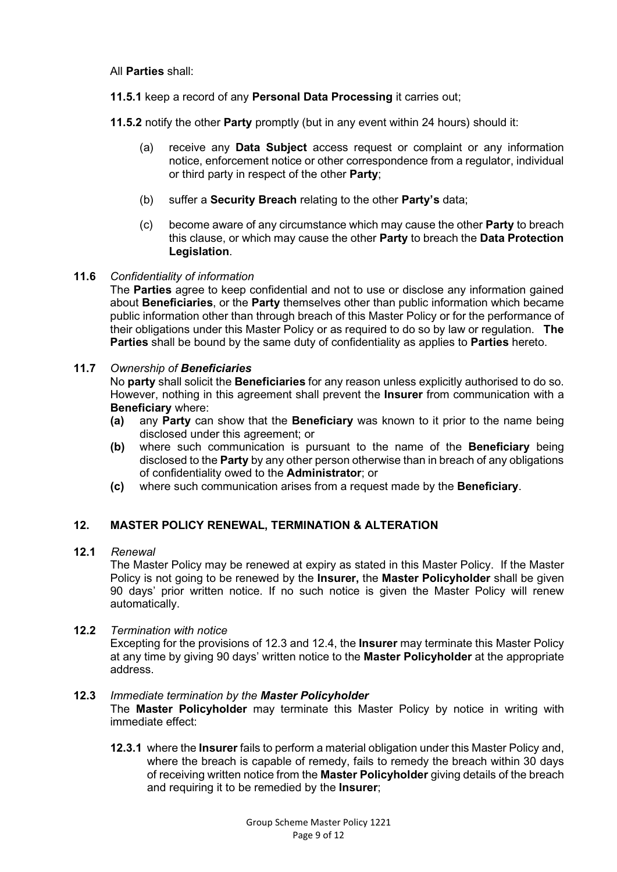All **Parties** shall:

**11.5.1** keep a record of any **Personal Data Processing** it carries out;

**11.5.2** notify the other **Party** promptly (but in any event within 24 hours) should it:

- (a) receive any **Data Subject** access request or complaint or any information notice, enforcement notice or other correspondence from a regulator, individual or third party in respect of the other **Party**;
- (b) suffer a **Security Breach** relating to the other **Party's** data;
- (c) become aware of any circumstance which may cause the other **Party** to breach this clause, or which may cause the other **Party** to breach the **Data Protection Legislation**.

#### **11.6** *Confidentiality of information*

The **Parties** agree to keep confidential and not to use or disclose any information gained about **Beneficiaries**, or the **Party** themselves other than public information which became public information other than through breach of this Master Policy or for the performance of their obligations under this Master Policy or as required to do so by law or regulation. **The Parties** shall be bound by the same duty of confidentiality as applies to **Parties** hereto.

#### **11.7** *Ownership of Beneficiaries*

No **party** shall solicit the **Beneficiaries** for any reason unless explicitly authorised to do so. However, nothing in this agreement shall prevent the **Insurer** from communication with a **Beneficiary** where:

- **(a)** any **Party** can show that the **Beneficiary** was known to it prior to the name being disclosed under this agreement; or
- **(b)** where such communication is pursuant to the name of the **Beneficiary** being disclosed to the **Party** by any other person otherwise than in breach of any obligations of confidentiality owed to the **Administrator**; or
- **(c)** where such communication arises from a request made by the **Beneficiary**.

#### **12. MASTER POLICY RENEWAL, TERMINATION & ALTERATION**

#### **12.1** *Renewal*

The Master Policy may be renewed at expiry as stated in this Master Policy. If the Master Policy is not going to be renewed by the **Insurer,** the **Master Policyholder** shall be given 90 days' prior written notice. If no such notice is given the Master Policy will renew automatically.

#### **12.2** *Termination with notice*

Excepting for the provisions of 12.3 and 12.4, the **Insurer** may terminate this Master Policy at any time by giving 90 days' written notice to the **Master Policyholder** at the appropriate address.

#### **12.3** *Immediate termination by the Master Policyholder*

The **Master Policyholder** may terminate this Master Policy by notice in writing with immediate effect:

**12.3.1** where the **Insurer** fails to perform a material obligation under this Master Policy and, where the breach is capable of remedy, fails to remedy the breach within 30 days of receiving written notice from the **Master Policyholder** giving details of the breach and requiring it to be remedied by the **Insurer**;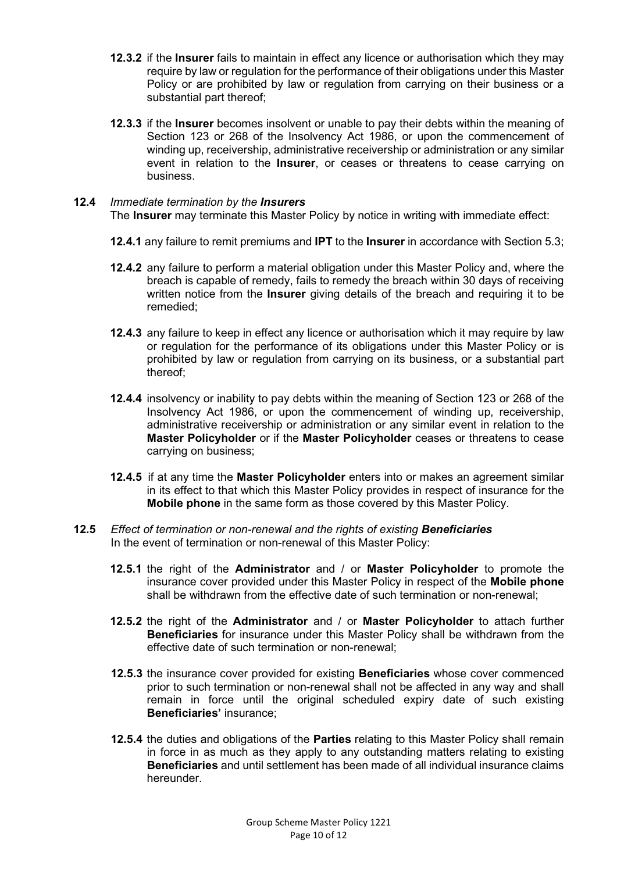- **12.3.2** if the **Insurer** fails to maintain in effect any licence or authorisation which they may require by law or regulation for the performance of their obligations under this Master Policy or are prohibited by law or regulation from carrying on their business or a substantial part thereof;
- **12.3.3** if the **Insurer** becomes insolvent or unable to pay their debts within the meaning of Section 123 or 268 of the Insolvency Act 1986, or upon the commencement of winding up, receivership, administrative receivership or administration or any similar event in relation to the **Insurer**, or ceases or threatens to cease carrying on business.

#### **12.4** *Immediate termination by the Insurers*

The **Insurer** may terminate this Master Policy by notice in writing with immediate effect:

- **12.4.1** any failure to remit premiums and **IPT** to the **Insurer** in accordance with Section 5.3;
- **12.4.2** any failure to perform a material obligation under this Master Policy and, where the breach is capable of remedy, fails to remedy the breach within 30 days of receiving written notice from the **Insurer** giving details of the breach and requiring it to be remedied;
- **12.4.3** any failure to keep in effect any licence or authorisation which it may require by law or regulation for the performance of its obligations under this Master Policy or is prohibited by law or regulation from carrying on its business, or a substantial part thereof;
- **12.4.4** insolvency or inability to pay debts within the meaning of Section 123 or 268 of the Insolvency Act 1986, or upon the commencement of winding up, receivership, administrative receivership or administration or any similar event in relation to the **Master Policyholder** or if the **Master Policyholder** ceases or threatens to cease carrying on business;
- **12.4.5** if at any time the **Master Policyholder** enters into or makes an agreement similar in its effect to that which this Master Policy provides in respect of insurance for the **Mobile phone** in the same form as those covered by this Master Policy.
- **12.5** *Effect of termination or non-renewal and the rights of existing Beneficiaries* In the event of termination or non-renewal of this Master Policy:
	- **12.5.1** the right of the **Administrator** and / or **Master Policyholder** to promote the insurance cover provided under this Master Policy in respect of the **Mobile phone** shall be withdrawn from the effective date of such termination or non-renewal;
	- **12.5.2** the right of the **Administrator** and / or **Master Policyholder** to attach further **Beneficiaries** for insurance under this Master Policy shall be withdrawn from the effective date of such termination or non-renewal;
	- **12.5.3** the insurance cover provided for existing **Beneficiaries** whose cover commenced prior to such termination or non-renewal shall not be affected in any way and shall remain in force until the original scheduled expiry date of such existing **Beneficiaries'** insurance;
	- **12.5.4** the duties and obligations of the **Parties** relating to this Master Policy shall remain in force in as much as they apply to any outstanding matters relating to existing **Beneficiaries** and until settlement has been made of all individual insurance claims hereunder.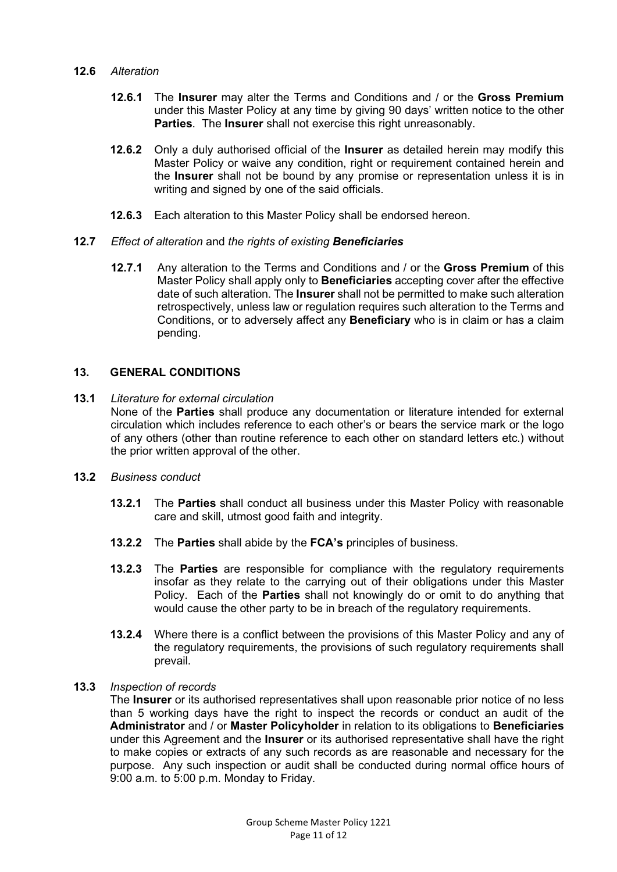#### **12.6** *Alteration*

- **12.6.1** The **Insurer** may alter the Terms and Conditions and / or the **Gross Premium** under this Master Policy at any time by giving 90 days' written notice to the other **Parties**. The **Insurer** shall not exercise this right unreasonably.
- **12.6.2** Only a duly authorised official of the **Insurer** as detailed herein may modify this Master Policy or waive any condition, right or requirement contained herein and the **Insurer** shall not be bound by any promise or representation unless it is in writing and signed by one of the said officials.
- **12.6.3** Each alteration to this Master Policy shall be endorsed hereon.

#### **12.7** *Effect of alteration* and *the rights of existing Beneficiaries*

**12.7.1** Any alteration to the Terms and Conditions and / or the **Gross Premium** of this Master Policy shall apply only to **Beneficiaries** accepting cover after the effective date of such alteration. The **Insurer** shall not be permitted to make such alteration retrospectively, unless law or regulation requires such alteration to the Terms and Conditions, or to adversely affect any **Beneficiary** who is in claim or has a claim pending.

#### **13. GENERAL CONDITIONS**

- **13.1** *Literature for external circulation* None of the **Parties** shall produce any documentation or literature intended for external circulation which includes reference to each other's or bears the service mark or the logo of any others (other than routine reference to each other on standard letters etc.) without the prior written approval of the other.
- **13.2** *Business conduct*
	- **13.2.1** The **Parties** shall conduct all business under this Master Policy with reasonable care and skill, utmost good faith and integrity.
	- **13.2.2** The **Parties** shall abide by the **FCA's** principles of business.
	- **13.2.3** The **Parties** are responsible for compliance with the regulatory requirements insofar as they relate to the carrying out of their obligations under this Master Policy. Each of the **Parties** shall not knowingly do or omit to do anything that would cause the other party to be in breach of the regulatory requirements.
	- **13.2.4** Where there is a conflict between the provisions of this Master Policy and any of the regulatory requirements, the provisions of such regulatory requirements shall prevail.

#### **13.3** *Inspection of records*

The **Insurer** or its authorised representatives shall upon reasonable prior notice of no less than 5 working days have the right to inspect the records or conduct an audit of the **Administrator** and / or **Master Policyholder** in relation to its obligations to **Beneficiaries** under this Agreement and the **Insurer** or its authorised representative shall have the right to make copies or extracts of any such records as are reasonable and necessary for the purpose. Any such inspection or audit shall be conducted during normal office hours of 9:00 a.m. to 5:00 p.m. Monday to Friday.